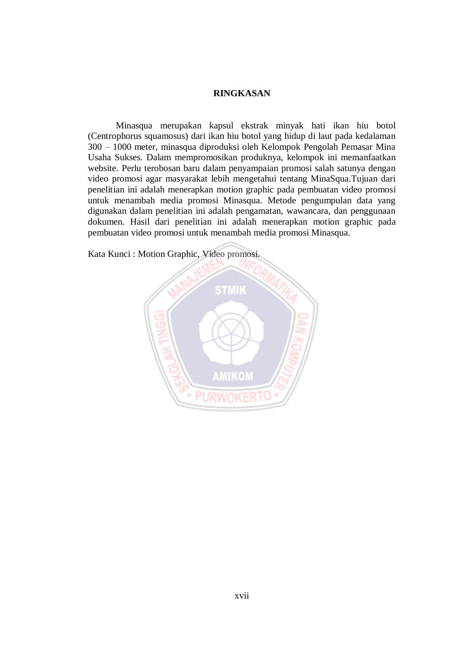## **RINGKASAN**

Minasqua merupakan kapsul ekstrak minyak hati ikan hiu botol (Centrophorus squamosus) dari ikan hiu botol yang hidup di laut pada kedalaman 300 – 1000 meter, minasqua diproduksi oleh Kelompok Pengolah Pemasar Mina Usaha Sukses. Dalam mempromosikan produknya, kelompok ini memanfaatkan website. Perlu terobosan baru dalam penyampaian promosi salah satunya dengan video promosi agar masyarakat lebih mengetahui tentang MinaSqua.Tujuan dari penelitian ini adalah menerapkan motion graphic pada pembuatan video promosi untuk menambah media promosi Minasqua. Metode pengumpulan data yang digunakan dalam penelitian ini adalah pengamatan, wawancara, dan penggunaan dokumen. Hasil dari penelitian ini adalah menerapkan motion graphic pada pembuatan video promosi untuk menambah media promosi Minasqua.

Kata Kunci : Motion Graphic, Video promosi.